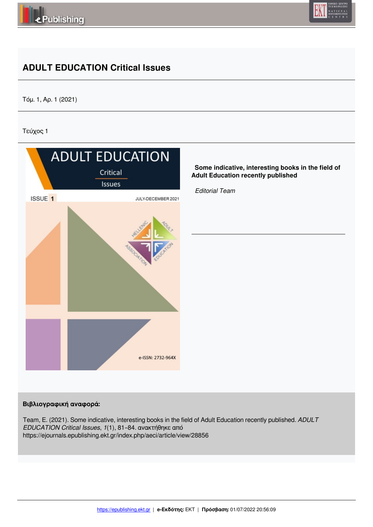



# **ADULT EDUCATION Critical Issues**

Τόμ. 1, Αρ. 1 (2021)

Τεύχος 1



## **Βιβλιογραφική αναφορά:**

Team, E. (2021). Some indicative, interesting books in the field of Adult Education recently published. *ADULT EDUCATION Critical Issues*, *1*(1), 81–84. ανακτήθηκε από https://ejournals.epublishing.ekt.gr/index.php/aeci/article/view/28856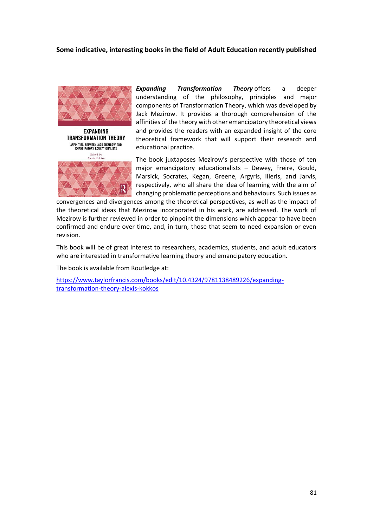### **Some indicative, interesting books in the field of Adult Education recently published**



**EXPANDING TRANSFORMATION THEORY** AFFINITIES BETWEEN JACK MEZIROW AND<br>EMANCIPATORY EDUCATIONALISTS Edited by<br>Alexis Kokkos

*Expanding Transformation Theory* offers a deeper understanding of the philosophy, principles and major components of Transformation Theory, which was developed by Jack Mezirow. It provides a thorough comprehension of the affinities of the theory with other emancipatory theoretical views and provides the readers with an expanded insight of the core theoretical framework that will support their research and educational practice.

The book juxtaposes Mezirow's perspective with those of ten major emancipatory educationalists – Dewey, Freire, Gould, Marsick, Socrates, Kegan, Greene, Argyris, Illeris, and Jarvis, respectively, who all share the idea of learning with the aim of changing problematic perceptions and behaviours. Such issues as

convergences and divergences among the theoretical perspectives, as well as the impact of the theoretical ideas that Mezirow incorporated in his work, are addressed. The work of Mezirow is further reviewed in order to pinpoint the dimensions which appear to have been confirmed and endure over time, and, in turn, those that seem to need expansion or even revision.

This book will be of great interest to researchers, academics, students, and adult educators who are interested in transformative learning theory and emancipatory education.

The book is available from Routledge at:

https://www.taylorfrancis.com/books/edit/10.4324/9781138489226/expandingtransformation-theory-alexis-kokkos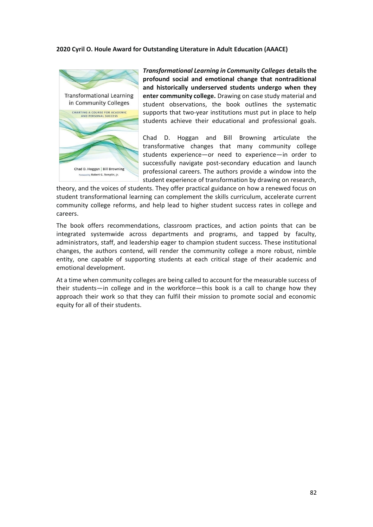#### **2020 Cyril O. Houle Award for Outstanding Literature in Adult Education (AAACE)**



*Transformational Learning in Community Colleges* **details the profound social and emotional change that nontraditional and historically underserved students undergo when they enter community college.** Drawing on case study material and student observations, the book outlines the systematic supports that two-year institutions must put in place to help students achieve their educational and professional goals.

Chad D. Hoggan and Bill Browning articulate the transformative changes that many community college students experience—or need to experience—in order to successfully navigate post-secondary education and launch professional careers. The authors provide a window into the student experience of transformation by drawing on research,

theory, and the voices of students. They offer practical guidance on how a renewed focus on student transformational learning can complement the skills curriculum, accelerate current community college reforms, and help lead to higher student success rates in college and careers.

The book offers recommendations, classroom practices, and action points that can be integrated systemwide across departments and programs, and tapped by faculty, administrators, staff, and leadership eager to champion student success. These institutional changes, the authors contend, will render the community college a more robust, nimble entity, one capable of supporting students at each critical stage of their academic and emotional development.

At a time when community colleges are being called to account for the measurable success of their students—in college and in the workforce—this book is a call to change how they approach their work so that they can fulfil their mission to promote social and economic equity for all of their students.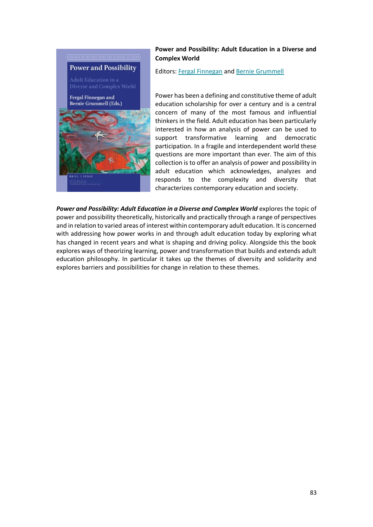

## **Power and Possibility: Adult Education in a Diverse and Complex World**

Editors: Fergal Finnegan and Bernie Grummell

Power has been a defining and constitutive theme of adult education scholarship for over a century and is a central concern of many of the most famous and influential thinkers in the field. Adult education has been particularly interested in how an analysis of power can be used to support transformative learning and democratic participation. In a fragile and interdependent world these questions are more important than ever. The aim of this collection is to offer an analysis of power and possibility in adult education which acknowledges, analyzes and responds to the complexity and diversity that characterizes contemporary education and society.

*Power and Possibility: Adult Education in a Diverse and Complex World* explores the topic of power and possibility theoretically, historically and practically through a range of perspectives and in relation to varied areas of interest within contemporary adult education. It is concerned with addressing how power works in and through adult education today by exploring what has changed in recent years and what is shaping and driving policy. Alongside this the book explores ways of theorizing learning, power and transformation that builds and extends adult education philosophy. In particular it takes up the themes of diversity and solidarity and explores barriers and possibilities for change in relation to these themes.